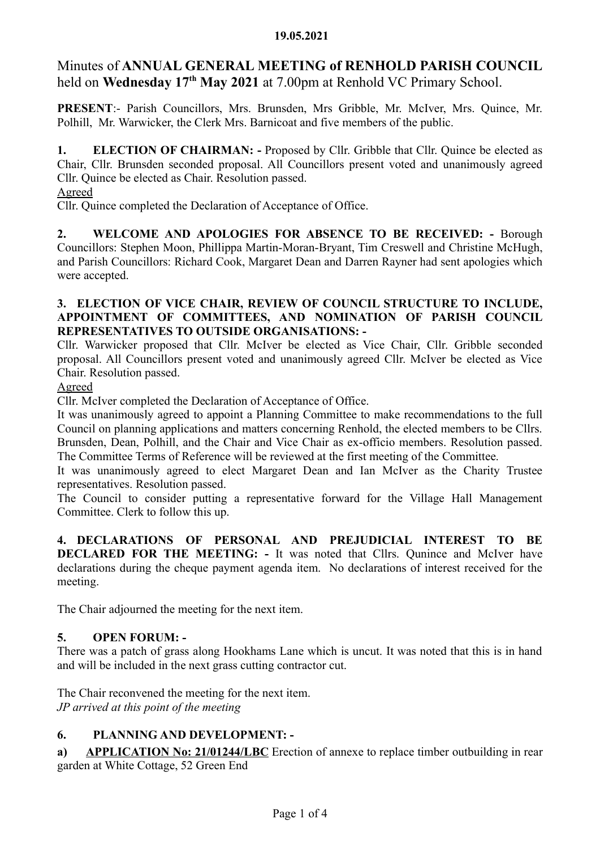## 19.05.2021

# Minutes of ANNUAL GENERAL MEETING of RENHOLD PARISH COUNCIL held on Wednesday 17<sup>th</sup> May 2021 at 7.00pm at Renhold VC Primary School.

PRESENT:- Parish Councillors, Mrs. Brunsden, Mrs Gribble, Mr. McIver, Mrs. Quince, Mr. Polhill, Mr. Warwicker, the Clerk Mrs. Barnicoat and five members of the public.

1. ELECTION OF CHAIRMAN: - Proposed by Cllr. Gribble that Cllr. Quince be elected as Chair, Cllr. Brunsden seconded proposal. All Councillors present voted and unanimously agreed Cllr. Quince be elected as Chair. Resolution passed.

## Agreed

Cllr. Quince completed the Declaration of Acceptance of Office.

2. WELCOME AND APOLOGIES FOR ABSENCE TO BE RECEIVED: - Borough Councillors: Stephen Moon, Phillippa Martin-Moran-Bryant, Tim Creswell and Christine McHugh, and Parish Councillors: Richard Cook, Margaret Dean and Darren Rayner had sent apologies which were accepted.

# 3. ELECTION OF VICE CHAIR, REVIEW OF COUNCIL STRUCTURE TO INCLUDE, APPOINTMENT OF COMMITTEES, AND NOMINATION OF PARISH COUNCIL REPRESENTATIVES TO OUTSIDE ORGANISATIONS: -

Cllr. Warwicker proposed that Cllr. McIver be elected as Vice Chair, Cllr. Gribble seconded proposal. All Councillors present voted and unanimously agreed Cllr. McIver be elected as Vice Chair. Resolution passed.

# Agreed

Cllr. McIver completed the Declaration of Acceptance of Office.

It was unanimously agreed to appoint a Planning Committee to make recommendations to the full Council on planning applications and matters concerning Renhold, the elected members to be Cllrs. Brunsden, Dean, Polhill, and the Chair and Vice Chair as ex-officio members. Resolution passed. The Committee Terms of Reference will be reviewed at the first meeting of the Committee.

It was unanimously agreed to elect Margaret Dean and Ian McIver as the Charity Trustee representatives. Resolution passed.

The Council to consider putting a representative forward for the Village Hall Management Committee. Clerk to follow this up.

4. DECLARATIONS OF PERSONAL AND PREJUDICIAL INTEREST TO BE DECLARED FOR THE MEETING: - It was noted that Cllrs. Ounince and McIver have declarations during the cheque payment agenda item. No declarations of interest received for the meeting.

The Chair adjourned the meeting for the next item.

# 5. OPEN FORUM: -

There was a patch of grass along Hookhams Lane which is uncut. It was noted that this is in hand and will be included in the next grass cutting contractor cut.

The Chair reconvened the meeting for the next item. JP arrived at this point of the meeting

# 6. PLANNING AND DEVELOPMENT: -

a) APPLICATION No: 21/01244/LBC Erection of annexe to replace timber outbuilding in rear garden at White Cottage, 52 Green End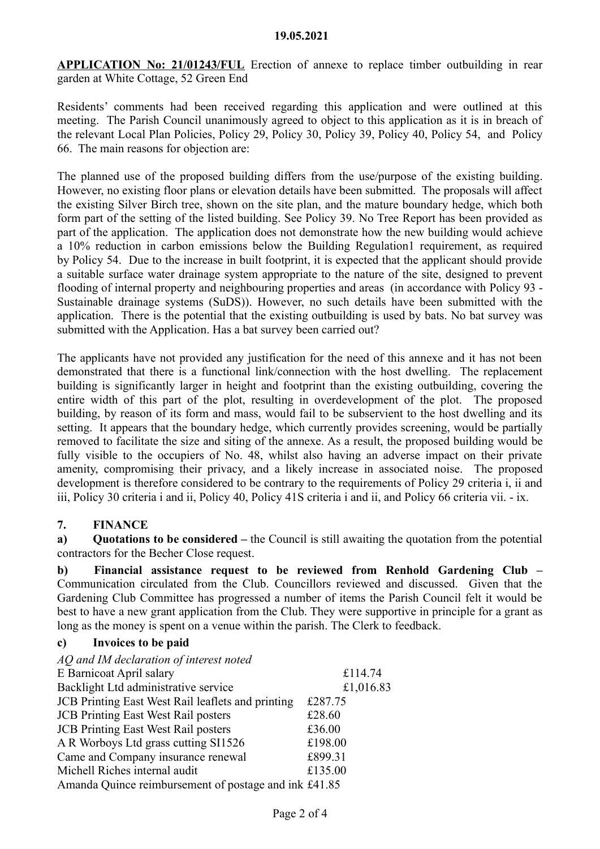APPLICATION No: 21/01243/FUL Erection of annexe to replace timber outbuilding in rear garden at White Cottage, 52 Green End

Residents' comments had been received regarding this application and were outlined at this meeting. The Parish Council unanimously agreed to object to this application as it is in breach of the relevant Local Plan Policies, Policy 29, Policy 30, Policy 39, Policy 40, Policy 54, and Policy 66. The main reasons for objection are:

The planned use of the proposed building differs from the use/purpose of the existing building. However, no existing floor plans or elevation details have been submitted. The proposals will affect the existing Silver Birch tree, shown on the site plan, and the mature boundary hedge, which both form part of the setting of the listed building. See Policy 39. No Tree Report has been provided as part of the application. The application does not demonstrate how the new building would achieve a 10% reduction in carbon emissions below the Building Regulation1 requirement, as required by Policy 54. Due to the increase in built footprint, it is expected that the applicant should provide a suitable surface water drainage system appropriate to the nature of the site, designed to prevent flooding of internal property and neighbouring properties and areas (in accordance with Policy 93 - Sustainable drainage systems (SuDS)). However, no such details have been submitted with the application. There is the potential that the existing outbuilding is used by bats. No bat survey was submitted with the Application. Has a bat survey been carried out?

The applicants have not provided any justification for the need of this annexe and it has not been demonstrated that there is a functional link/connection with the host dwelling. The replacement building is significantly larger in height and footprint than the existing outbuilding, covering the entire width of this part of the plot, resulting in overdevelopment of the plot. The proposed building, by reason of its form and mass, would fail to be subservient to the host dwelling and its setting. It appears that the boundary hedge, which currently provides screening, would be partially removed to facilitate the size and siting of the annexe. As a result, the proposed building would be fully visible to the occupiers of No. 48, whilst also having an adverse impact on their private amenity, compromising their privacy, and a likely increase in associated noise. The proposed development is therefore considered to be contrary to the requirements of Policy 29 criteria i, ii and iii, Policy 30 criteria i and ii, Policy 40, Policy 41S criteria i and ii, and Policy 66 criteria vii. - ix.

# 7. FINANCE

a) Quotations to be considered – the Council is still awaiting the quotation from the potential contractors for the Becher Close request.

b) Financial assistance request to be reviewed from Renhold Gardening Club – Communication circulated from the Club. Councillors reviewed and discussed. Given that the Gardening Club Committee has progressed a number of items the Parish Council felt it would be best to have a new grant application from the Club. They were supportive in principle for a grant as long as the money is spent on a venue within the parish. The Clerk to feedback.

#### c) Invoices to be paid

AQ and IM declaration of interest noted

| E Barnicoat April salary                              | £114.74   |
|-------------------------------------------------------|-----------|
| Backlight Ltd administrative service                  | £1,016.83 |
| JCB Printing East West Rail leaflets and printing     | £287.75   |
| <b>JCB</b> Printing East West Rail posters            | £28.60    |
| <b>JCB</b> Printing East West Rail posters            | £36.00    |
| A R Worboys Ltd grass cutting SI1526                  | £198.00   |
| Came and Company insurance renewal                    | £899.31   |
| Michell Riches internal audit                         | £135.00   |
| Amanda Quince reimbursement of postage and ink £41.85 |           |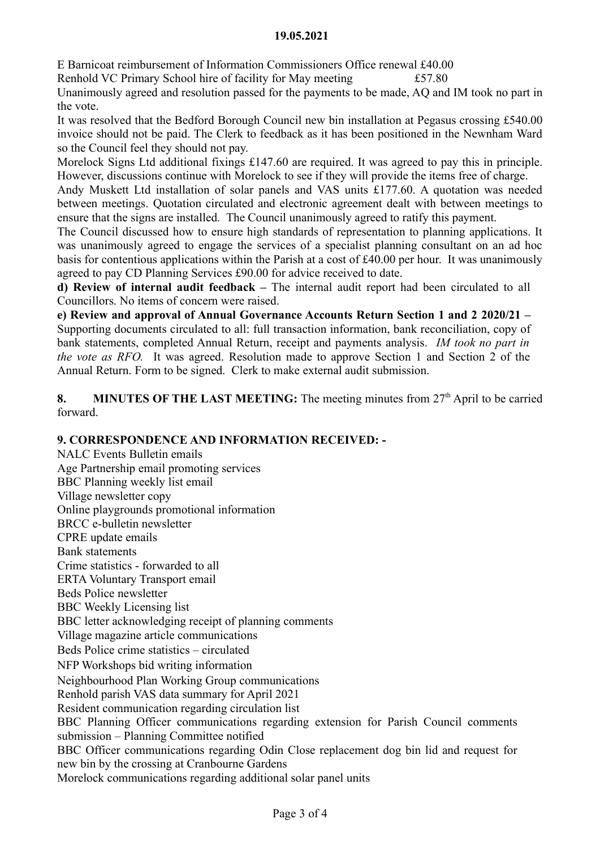#### 19.05.2021

E Barnicoat reimbursement of Information Commissioners Office renewal £40.00

Renhold VC Primary School hire of facility for May meeting  $£57.80$ 

Unanimously agreed and resolution passed for the payments to be made, AQ and IM took no part in the vote.

It was resolved that the Bedford Borough Council new bin installation at Pegasus crossing £540.00 invoice should not be paid. The Clerk to feedback as it has been positioned in the Newnham Ward so the Council feel they should not pay.

Morelock Signs Ltd additional fixings £147.60 are required. It was agreed to pay this in principle. However, discussions continue with Morelock to see if they will provide the items free of charge.

Andy Muskett Ltd installation of solar panels and VAS units £177.60. A quotation was needed between meetings. Quotation circulated and electronic agreement dealt with between meetings to ensure that the signs are installed. The Council unanimously agreed to ratify this payment.

The Council discussed how to ensure high standards of representation to planning applications. It was unanimously agreed to engage the services of a specialist planning consultant on an ad hoc basis for contentious applications within the Parish at a cost of £40.00 per hour. It was unanimously agreed to pay CD Planning Services £90.00 for advice received to date.

d) Review of internal audit feedback – The internal audit report had been circulated to all Councillors. No items of concern were raised.

e) Review and approval of Annual Governance Accounts Return Section 1 and 2 2020/21 – Supporting documents circulated to all: full transaction information, bank reconciliation, copy of bank statements, completed Annual Return, receipt and payments analysis. IM took no part in the vote as RFO. It was agreed. Resolution made to approve Section 1 and Section 2 of the Annual Return. Form to be signed. Clerk to make external audit submission.

8. MINUTES OF THE LAST MEETING: The meeting minutes from  $27<sup>th</sup>$  April to be carried forward.

# 9. CORRESPONDENCE AND INFORMATION RECEIVED: -

NALC Events Bulletin emails Age Partnership email promoting services BBC Planning weekly list email Village newsletter copy Online playgrounds promotional information BRCC e-bulletin newsletter CPRE update emails Bank statements Crime statistics - forwarded to all ERTA Voluntary Transport email Beds Police newsletter BBC Weekly Licensing list BBC letter acknowledging receipt of planning comments Village magazine article communications Beds Police crime statistics – circulated NFP Workshops bid writing information Neighbourhood Plan Working Group communications Renhold parish VAS data summary for April 2021 Resident communication regarding circulation list BBC Planning Officer communications regarding extension for Parish Council comments submission – Planning Committee notified BBC Officer communications regarding Odin Close replacement dog bin lid and request for new bin by the crossing at Cranbourne Gardens Morelock communications regarding additional solar panel units